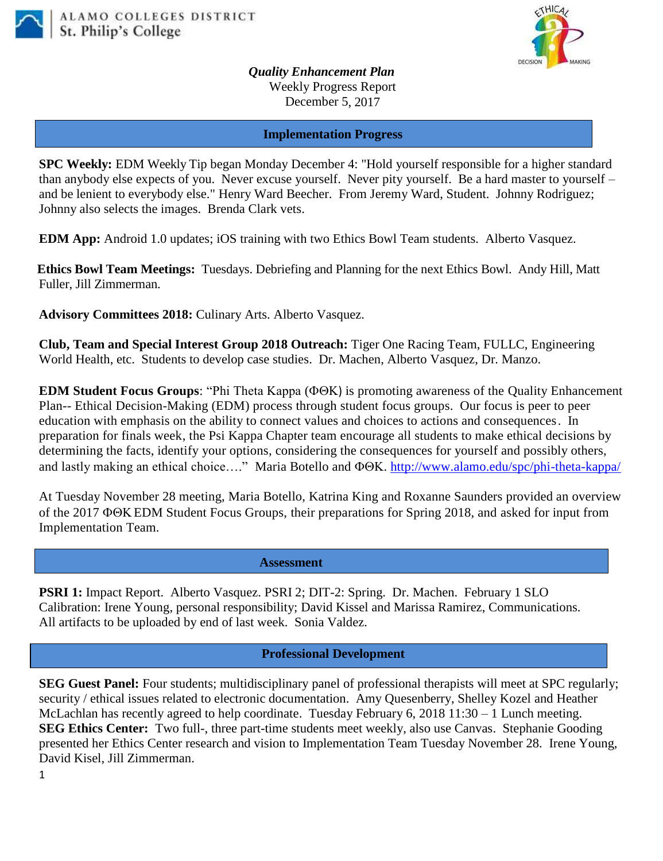



*Quality Enhancement Plan* Weekly Progress Report December 5, 2017

**Implementation Progress**

**SPC Weekly:** EDM Weekly Tip began Monday December 4: "Hold yourself responsible for a higher standard than anybody else expects of you. Never excuse yourself. Never pity yourself. Be a hard master to yourself – and be lenient to everybody else." Henry Ward Beecher. From Jeremy Ward, Student. Johnny Rodriguez; Johnny also selects the images. Brenda Clark vets.

**EDM App:** Android 1.0 updates; iOS training with two Ethics Bowl Team students. Alberto Vasquez.

**Ethics Bowl Team Meetings:** Tuesdays. Debriefing and Planning for the next Ethics Bowl.Andy Hill, Matt Fuller, Jill Zimmerman.

**Advisory Committees 2018:** Culinary Arts. Alberto Vasquez.

**Club, Team and Special Interest Group 2018 Outreach:** Tiger One Racing Team, FULLC, Engineering World Health, etc. Students to develop case studies. Dr. Machen, Alberto Vasquez, Dr. Manzo.

**EDM Student Focus Groups:** "Phi Theta Kappa ( $\Phi \Theta K$ ) is promoting awareness of the Quality Enhancement Plan-- Ethical Decision-Making (EDM) process through student focus groups. Our focus is peer to peer education with emphasis on the ability to connect values and choices to actions and consequences. In preparation for finals week, the Psi Kappa Chapter team encourage all students to make ethical decisions by determining the facts, identify your options, considering the consequences for yourself and possibly others, and lastly making an ethical choice…." Maria Botello and  $\Phi \Theta K$ . <http://www.alamo.edu/spc/phi-theta-kappa/>

At Tuesday November 28 meeting, Maria Botello, Katrina King and Roxanne Saunders provided an overview of the 2017 **ΦΘK EDM** Student Focus Groups, their preparations for Spring 2018, and asked for input from Implementation Team.

 **Assessment**

**PSRI 1:** Impact Report. Alberto Vasquez. PSRI 2; DIT-2: Spring. Dr. Machen. February 1 SLO Calibration: Irene Young, personal responsibility; David Kissel and Marissa Ramirez, Communications. All artifacts to be uploaded by end of last week. Sonia Valdez.

## **Professional Development**

**SEG Guest Panel:** Four students; multidisciplinary panel of professional therapists will meet at SPC regularly; security / ethical issues related to electronic documentation. Amy Quesenberry, Shelley Kozel and Heather McLachlan has recently agreed to help coordinate. Tuesday February 6, 2018 11:30 – 1 Lunch meeting. **SEG Ethics Center:** Two full-, three part-time students meet weekly, also use Canvas. Stephanie Gooding presented her Ethics Center research and vision to Implementation Team Tuesday November 28. Irene Young, David Kisel, Jill Zimmerman.